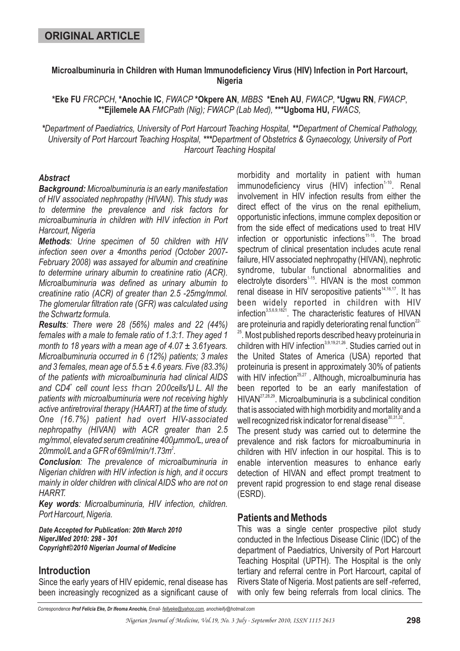### **Microalbuminuria in Children with Human Immunodeficiency Virus (HIV) Infection in Port Harcourt, Nigeria**

\*Eke FU *FRCPCH*, \*Anochie IC, *FWACP* \*Okpere AN, *MBBS* \*Eneh AU, *FWACP*, \*Ugwu RN, *FWACP*, \*\*Ejilemele AA FMCPath (Nig); FWACP (Lab Med), \*\*\*Ugboma HU, FWACS,

\*Department of Paediatrics, University of Port Harcourt Teaching Hospital, \*\*Department of Chemical Pathology, University of Port Harcourt Teaching Hospital, \*\*\*Department of Obstetrics & Gynaecology, University of Port *Harcourt Teaching Hospital*

### *Abstract*

*Background: Microalbuminuria is an early manifestation of HIV associated nephropathy (HIVAN). This study was to determine the prevalence and risk factors for microalbuminuria in children with HIV infection in Port Harcourt, Nigeria*

*Methods : Urine specimen of 50 children with HIV infection seen over a 4months period (October 2007- February 2008) was assayed for albumin and creatinine to determine urinary albumin to creatinine ratio (ACR). Microalbuminuria was defined as urinary albumin to creatinine ratio (ACR) of greater than 2.5 -25mg/mmol. The glomerular filtration rate (GFR) was calculated using the Schwartz formula.*

*Results : There were 28 (56%) males and 22 (44%) females with a male to female ratio of 1.3:1. They aged 1 month to 18 years with a mean age of 4.07 ± 3.61years. Microalbuminuria occurred in 6 (12%) patients; 3 males and 3 females, mean age of 5.5 ± 4.6 years. Five (83.3%) of the patients with microalbuminuria had clinical AIDS* and CD4<sup>+</sup> cell count less than 200cells/UL. All the *patients with microalbuminuria were not receiving highly active antiretroviral therapy (HAART) at the time of study. One (16.7%) patient had overt HIV-associated nephropathy (HIVAN) with ACR greater than 2.5 mg/mmol, elevated serum creatinine 400µmmo/L, urea of 20mmol/Land a GFR of 69ml/min/1.73m . 2*

*Conclusion : The prevalence of microalbuminuria in Nigerian children with HIV infection is high, and it occurs mainly in older children with clinical AIDS who are not on HARRT.*

*Key words : Microalbuminuria, HIV infection, children. Port Harcourt, Nigeria.*

*Date Accepted for Publication: 20th March 2010 NigerJMed 2010: 298 - 301 Copyright©2010 Nigerian Journal of Medicine*

# **Introduction**

Since the early years of HIV epidemic, renal disease has been increasingly recognized as a significant cause of morbidity and mortality in patient with human immunodeficiency virus (HIV) infection<sup>1-10</sup>. Renal involvement in HIV infection results from either the direct effect of the virus on the renal epithelium, opportunistic infections, immune complex deposition or from the side effect of medications used to treat HIV infection or opportunistic infections<sup>11-15</sup>. The broad spectrum of clinical presentation includes acute renal failure, HIV associated nephropathy (HIVAN), nephrotic syndrome, tubular functional abnormalities and electrolyte disorders<sup>1-15</sup>. HIVAN is the most common renal disease in HIV seropositive patients<sup>14,16,17</sup>. It has been widely reported in children with HIV infection<sup>3,5,6,9,1821</sup>. The characteristic features of HIVAN are proteinuria and rapidly deteriorating renal function $^{22}$  $^{25}$ . Most published reports described heavy proteinuria in children with HIV infection<sup>3,9,19,21,26</sup>. Studies carried out in the United States of America (USA) reported that proteinuria is present in approximately 30% of patients with HIV infection<sup>25,27</sup> . Although, microalbuminuria has been reported to be an early manifestation of HIVAN<sup>27,28,29</sup>. Microalbuminuria is a subclinical condition that is associated with high morbidity and mortality and a well recognized risk indicator for renal disease $^{\rm 30,31,32}.$ 

The present study was carried out to determine the prevalence and risk factors for microalbuminuria in children with HIV infection in our hospital. This is to enable intervention measures to enhance early detection of HIVAN and effect prompt treatment to prevent rapid progression to end stage renal disease (ESRD).

### **Patients and Methods**

This was a single center prospective pilot study conducted in the Infectious Disease Clinic (IDC) of the department of Paediatrics, University of Port Harcourt Teaching Hospital (UPTH). The Hospital is the only tertiary and referral centre in Port Harcourt, capital of Rivers State of Nigeria. Most patients are self -referred, with only few being referrals from local clinics. The

*Correspondence Email- , anochieify@hotmail.com Prof Felicia Eke, Dr Ifeoma Anochie, fellyeke@yahoo.com*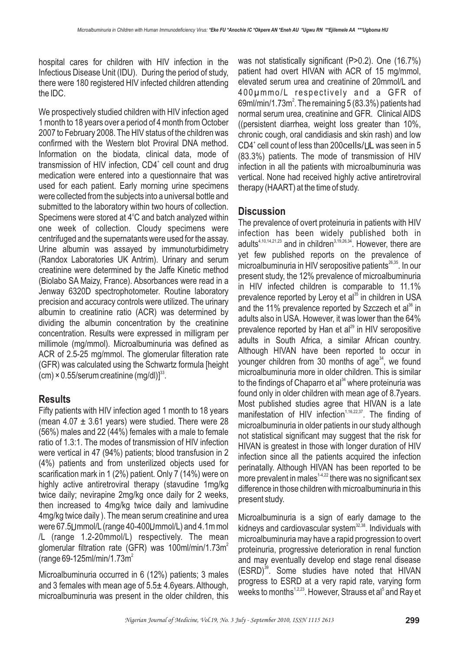hospital cares for children with HIV infection in the Infectious Disease Unit (IDU). During the period of study, there were 180 registered HIV infected children attending the IDC.

We prospectively studied children with HIV infection aged 1 month to 18 years over a period of 4 month from October 2007 to February 2008. The HIV status of the children was confirmed with the Western blot Proviral DNA method. Information on the biodata, clinical data, mode of transmission of HIV infection, CD4<sup>+</sup> cell count and drug medication were entered into a questionnaire that was used for each patient. Early morning urine specimens were collected from the subjects into a universal bottle and submitted to the laboratory within two hours of collection. Specimens were stored at 4°C and batch analyzed within one week of collection. Cloudy specimens were centrifuged and the supernatants were used for the assay. Urine albumin was assayed by immunoturbidimetry (Randox Laboratories UK Antrim). Urinary and serum creatinine were determined by the Jaffe Kinetic method (Biolabo SA Maizy, France). Absorbances were read in a Jenway 6320D spectrophotometer. Routine laboratory precision and accuracy controls were utilized. The urinary albumin to creatinine ratio (ACR) was determined by dividing the albumin concentration by the creatinine concentration. Results were expressed in milligram per millimole (mg/mmol). Microalbuminuria was defined as ACR of 2.5-25 mg/mmol. The glomerular filteration rate (GFR) was calculated using the Schwartz formula [height  $(cm) \times 0.55$ /serum creatinine  $(mg/dI)]^{33}$ .

# **Results**

Fifty patients with HIV infection aged 1 month to 18 years (mean  $4.07 \pm 3.61$  years) were studied. There were 28 (56%) males and 22 (44%) females with a male to female ratio of 1.3:1. The modes of transmission of HIV infection were vertical in 47 (94%) patients; blood transfusion in 2 (4%) patients and from unsterilized objects used for scarification mark in 1 (2%) patient. Only 7 (14%) were on highly active antiretroviral therapy (stavudine 1mg/kg twice daily; nevirapine 2mg/kg once daily for 2 weeks, then increased to 4mg/kg twice daily and lamivudine 4mg/kg twice daily ). The mean serum creatinine and urea were 67.5Ummol/L (range 40-400Ummol/L) and 4.1m mol /L (range 1.2-20mmol/L) respectively. The mean glomerular filtration rate (GFR) was 100ml/min/1.73m<sup>2</sup> (range 69-125ml/min/1.73m 2

Microalbuminuria occurred in 6 (12%) patients; 3 males and 3 females with mean age of 5.5± 4.6years. Although, microalbuminuria was present in the older children, this was not statistically significant (P>0.2). One (16.7%) patient had overt HIVAN with ACR of 15 mg/mmol, elevated serum urea and creatinine of 20mmol/L and 400µmmo/L respectively and a GFR of 69ml/min/1.73 $m^2$ . The remaining 5 (83.3%) patients had normal serum urea, creatinine and GFR. Clinical AIDS ((persistent diarrhea, weight loss greater than 10%, chronic cough, oral candidiasis and skin rash) and low  $CD4^*$  cell count of less than 200 cells/UL was seen in 5 (83.3%) patients. The mode of transmission of HIV infection in all the patients with microalbuminuria was vertical. None had received highly active antiretroviral therapy (HAART) at the time of study.

# **Discussion**

The prevalence of overt proteinuria in patients with HIV infection has been widely published both in adults $4,10,14,21,23$  and in children $3,19,26,34$ . However, there are yet few published reports on the prevalence of microalbuminuria in HIV seropositive patients<sup>26,35</sup>. In our present study, the 12% prevalence of microalbuminuria in HIV infected children is comparable to 11.1% prevalence reported by Leroy et al<sup>35</sup> in children in USA and the 11% prevalence reported by Szczech et al<sup>36</sup> in adults also in USA. However, it was lower than the 64% prevalence reported by Han et al<sup>29</sup> in HIV seropositive adults in South Africa, a similar African country. Although HIVAN have been reported to occur in younger children from 30 months of age<sup>34</sup>, we found microalbuminuria more in older children. This is similar to the findings of Chaparro et al $^{34}$  where proteinuria was found only in older children with mean age of 8.7years. Most published studies agree that HIVAN is a late manifestation of HIV infection<sup>1,16,22,37</sup>. The finding of microalbuminuria in older patients in our study although not statistical significant may suggest that the risk for HIVAN is greatest in those with longer duration of HIV infection since all the patients acquired the infection perinatally. Although HIVAN has been reported to be more prevalent in males $^{14,22}$  there was no significant sex difference in those children with microalbuminuria in this present study.

Microalbuminuria is a sign of early damage to the kidneys and cardiovascular system $^{32,38}$ . Individuals with microalbuminuria may have a rapid progression to overt proteinuria, progressive deterioration in renal function and may eventually develop end stage renal disease (ESRD)<sup>39</sup>. Some studies have noted that HIVAN progress to ESRD at a very rapid rate, varying form weeks to months $^{\text{1,2,23}}$ . However, Strauss et al $^{\text{s}}$  and Ray et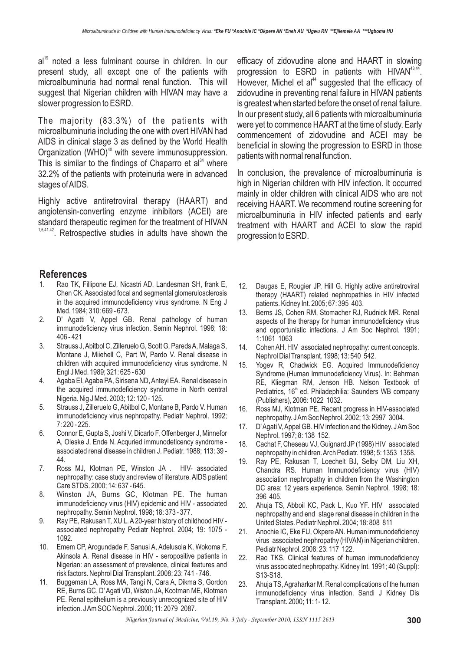al<sup>19</sup> noted a less fulminant course in children. In our present study, all except one of the patients with microalbuminuria had normal renal function. This will suggest that Nigerian children with HIVAN may have a slower progression to ESRD.

The majority (83.3%) of the patients with microalbuminuria including the one with overt HIVAN had AIDS in clinical stage 3 as defined by the World Health Organization  $(WHO)^{40}$  with severe immunosuppression. This is similar to the findings of Chaparro et al<sup>34</sup> where 32.2% of the patients with proteinuria were in advanced stages ofAIDS.

Highly active antiretroviral therapy (HAART) and angiotensin-converting enzyme inhibitors (ACEI) are standard therapeutic regimen for the treatment of HIVAN  $1,5,41.42$ . Retrospective studies in adults have shown the

#### **References**

- Rao TK, Fillipone EJ, Nicastri AD, Landesman SH, frank E, Chen CK. Associated focal and segmental glomerulosclerosis in the acquired immunodeficiency virus syndrome. N Eng J Med. 1984; 310: 669 - 673.
- 2. D' Agatti V, Appel GB. Renal pathology of human immunodeficiency virus infection. Semin Nephrol. 1998; 18: 406 - 421
- 3. Strauss J,Abitbol C, Zilleruelo G, Scott G, ParedsA, Malaga S, Montane J, Miiehell C, Part W, Pardo V. Renal disease in children with acquired immunodeficiency virus syndrome. N Engl J Med. 1989; 321: 625 - 630
- 4. Agaba EI,Agaba PA, Sirisena ND,Anteyi EA. Renal disease in the acquired immunodeficiency syndrome in North central Nigeria. Nig J Med. 2003; 12: 120 - 125.
- 5. Strauss J, Zilleruelo G, Abitbol C, Montane B, Pardo V. Human immunodeficiency virus nephropathy. Pediatr Nephrol. 1992; 7: 220 - 225.
- 6. Connor E, Gupta S, Joshi V, Dicarlo F, Offenberger J, Minnefor A, Oleske J, Ende N. Acquried immunodeticency syndrome associated renal disease in children J. Pediatr. 1988; 113: 39 - 44.
- 7. Ross MJ, Klotman PE, Winston JA . HIV- associated nephropathy: case study and review of literature. AIDS patient Care STDS. 2000; 14: 637 - 645.
- 8. Winston JA, Burns GC, Klotman PE. The human immunodeficiency virus (HIV) epidemic and HIV - associated nephropathy. Semin Nephrol. 1998; 18: 373 - 377.
- 9. Ray PE, Rakusan T, XU L. A 20-year history of childhood HIV associated nephropathy Pediatr Nephrol. 2004; 19: 1075 - 1092.
- 10. Emem CP, Arogundade F, Sanusi A, Adelusola K, Wokoma F, Akinsola A. Renal disease in HIV - seropositive patients in Nigerian: an assessment of prevalence, clinical features and risk factors. Nephrol Dial Transplant. 2008; 23: 741 - 746.
- 11. Buggeman LA, Ross MA, Tangi N, Cara A, Dikma S, Gordon RE, Burns GC, D' Agati VD, Wiston JA, Kcotman ME, Klotman PE. Renal epithelium is a previously unrecognized site of HIV infection. JAm SOC Nephrol. 2000; 11: 2079 2087.

efficacy of zidovudine alone and HAART in slowing progression to ESRD in patients with HIVAN<sup>43,44</sup>. However, Michel et al $44}$  suggested that the efficacy of zidovudine in preventing renal failure in HIVAN patients is greatest when started before the onset of renal failure. In our present study, all 6 patients with microalbuminuria were yet to commence HAART at the time of study. Early commencement of zidovudine and ACEI may be beneficial in slowing the progression to ESRD in those patients with normal renal function.

In conclusion, the prevalence of microalbuminuria is high in Nigerian children with HIV infection. It occurred mainly in older children with clinical AIDS who are not receiving HAART. We recommend routine screening for microalbuminuria in HIV infected patients and early treatment with HAART and ACEI to slow the rapid progression to ESRD.

- 12. Daugas E, Rougier JP, Hill G. Highly active antiretroviral therapy (HAART) related nephropathies in HIV infected patients. Kidney Int. 2005; 67: 395 403.
- 13. Berns JS, Cohen RM, Stomacher RJ, Rudnick MR. Renal aspects of the therapy for human immunodeficiency virus and opportunistic infections. J Am Soc Nephrol. 1991; 1:1061 1063
- 14. Cohen AH. HIV associated nephropathy: current concepts. Nephrol Dial Transplant. 1998; 13: 540 542.
- 15. Yogev R, Chadwick EG. Acquired Immunodeficiency Syndrome (Human Immunodeficiency Virus). In: Behrman RE, Kliegman RM, Jenson HB. Nelson Textbook of Pediatrics, 16<sup>th</sup> ed. Philadephilia: Saunders WB company (Publishers), 2006: 1022 1032.
- 16. Ross MJ, Klotman PE. Recent progress in HIV-associated nephropathy. JAm Soc Nephrol. 2002; 13: 2997 3004.
- 17. D'Agati V,Appel GB. HIV infection and the Kidney. JAm Soc Nephrol. 1997; 8: 138 152.
- 18. Cachat F, Cheseau VJ, Guignard JP (1998) HIV associated nephropathy in children.Arch Pediatr. 1998; 5: 1353 1358.
- 19. Ray PE, Rakusan T, Loechelt BJ, Selby DM, Liu XH, Chandra RS. Human Immunodeficiency virus (HIV) association nephropathy in children from the Washington DC area: 12 years experience. Semin Nephrol. 1998; 18: 396 405.
- 20. Ahuja TS, Abboil KC, Pack L, Kuo YF. HIV associated nephropathy and end stage renal disease in children in the United States. Pediatr Nephrol. 2004; 18: 808 811
- 21. Anochie IC, Eke FU, Okpere AN. Human immunodeficiency virus associated nephropathy (HIVAN) in Nigerian children. Pediatr Nephrol. 2008; 23: 117 122.
- 22. Rao TKS. Clinical features of human immunodeficiency virus associated nephropathy. Kidney Int. 1991; 40 (Suppl): S13-S18.
- 23. Ahuja TS, Agraharkar M. Renal complications of the human immunodeficiency virus infection. Sandi J Kidney Dis Transplant. 2000; 11: 1- 12.